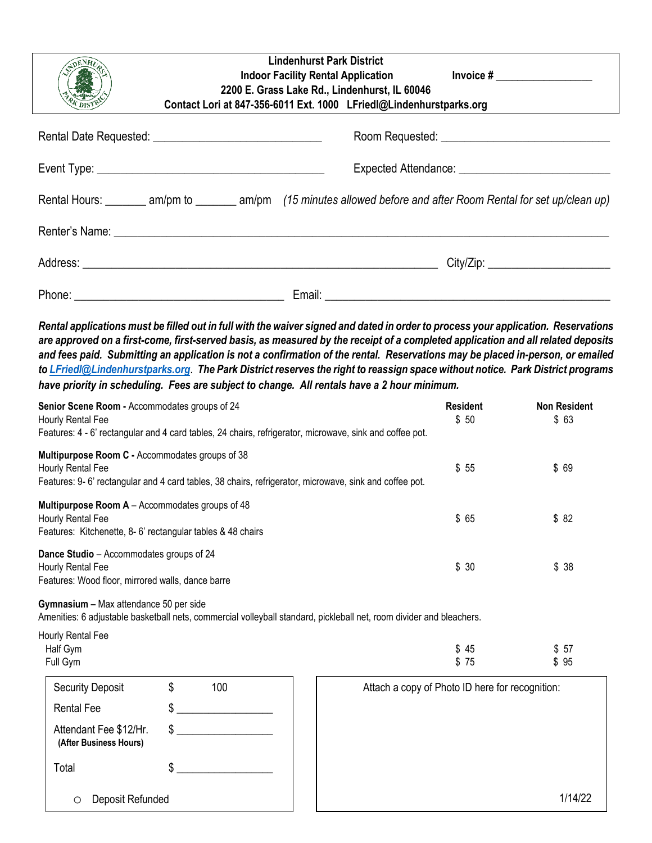| <b>Lindenhurst Park District</b><br>Indoor Facility Rental Application his linvoice #<br>2200 E. Grass Lake Rd., Lindenhurst, IL 60046<br>Contact Lori at 847-356-6011 Ext. 1000 LFriedl@Lindenhurstparks.org |  |  |  |  |
|---------------------------------------------------------------------------------------------------------------------------------------------------------------------------------------------------------------|--|--|--|--|
|                                                                                                                                                                                                               |  |  |  |  |
|                                                                                                                                                                                                               |  |  |  |  |
| Rental Hours: _______ am/pm to _______ am/pm (15 minutes allowed before and after Room Rental for set up/clean up)                                                                                            |  |  |  |  |
|                                                                                                                                                                                                               |  |  |  |  |
| City/Zip: _______________________                                                                                                                                                                             |  |  |  |  |
|                                                                                                                                                                                                               |  |  |  |  |

*Rental applications must be filled out in full with the waiver signed and dated in order to process your application. Reservations are approved on a first-come, first-served basis, as measured by the receipt of a completed application and all related deposits and fees paid. Submitting an application is not a confirmation of the rental. Reservations may be placed in-person, or emailed t[o LFriedl@Lindenhurstparks.org](mailto:LFriedl@Lindenhurstparks.org)*. *The Park District reserves the right to reassign space without notice. Park District programs have priority in scheduling. Fees are subject to change. All rentals have a 2 hour minimum.*

| Senior Scene Room - Accommodates groups of 24<br>Hourly Rental Fee<br>Features: 4 - 6' rectangular and 4 card tables, 24 chairs, refrigerator, microwave, sink and coffee pot.                                                                           |           |                                                                                                                      | <b>Resident</b><br>\$50                         | <b>Non Resident</b><br>\$63 |  |
|----------------------------------------------------------------------------------------------------------------------------------------------------------------------------------------------------------------------------------------------------------|-----------|----------------------------------------------------------------------------------------------------------------------|-------------------------------------------------|-----------------------------|--|
| Multipurpose Room C - Accommodates groups of 38<br>Hourly Rental Fee                                                                                                                                                                                     |           | Features: 9-6' rectangular and 4 card tables, 38 chairs, refrigerator, microwave, sink and coffee pot.               | \$55                                            | \$69                        |  |
| Multipurpose Room A - Accommodates groups of 48<br>Hourly Rental Fee<br>Features: Kitchenette, 8-6' rectangular tables & 48 chairs<br>Dance Studio - Accommodates groups of 24<br>Hourly Rental Fee<br>Features: Wood floor, mirrored walls, dance barre |           |                                                                                                                      | \$65                                            | \$82                        |  |
|                                                                                                                                                                                                                                                          |           |                                                                                                                      | \$30                                            | \$38                        |  |
| Gymnasium - Max attendance 50 per side                                                                                                                                                                                                                   |           | Amenities: 6 adjustable basketball nets, commercial volleyball standard, pickleball net, room divider and bleachers. |                                                 |                             |  |
| Hourly Rental Fee<br>Half Gym<br>Full Gym                                                                                                                                                                                                                |           |                                                                                                                      | \$<br>45<br>\$75                                | \$57<br>\$95                |  |
| <b>Security Deposit</b>                                                                                                                                                                                                                                  | \$<br>100 |                                                                                                                      | Attach a copy of Photo ID here for recognition: |                             |  |
| <b>Rental Fee</b>                                                                                                                                                                                                                                        | \$        |                                                                                                                      |                                                 |                             |  |
| Attendant Fee \$12/Hr.<br>(After Business Hours)                                                                                                                                                                                                         | \$        |                                                                                                                      |                                                 |                             |  |
| Total                                                                                                                                                                                                                                                    | \$        |                                                                                                                      |                                                 |                             |  |

1/14/22

o Deposit Refunded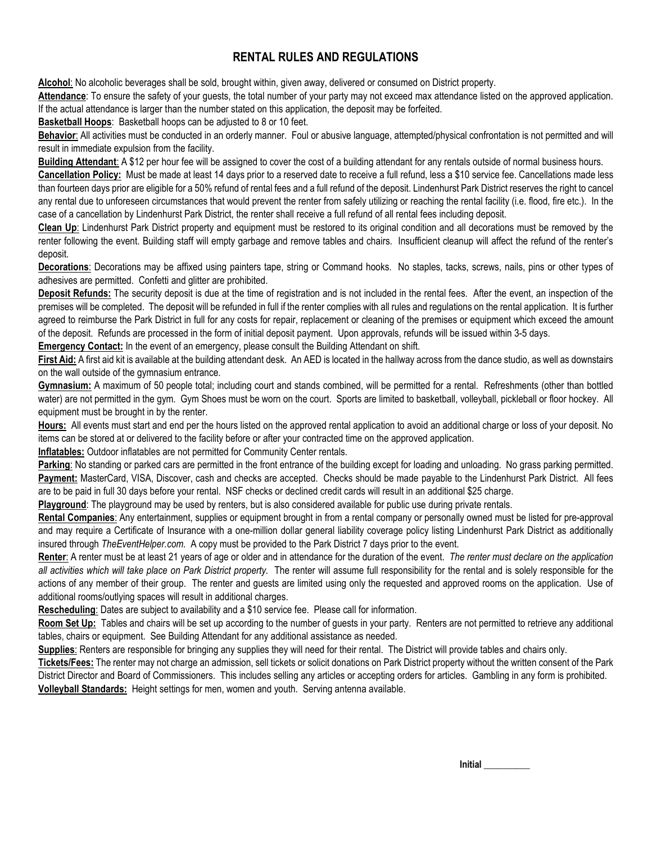## **RENTAL RULES AND REGULATIONS**

**Alcohol**: No alcoholic beverages shall be sold, brought within, given away, delivered or consumed on District property.

**Attendance**: To ensure the safety of your guests, the total number of your party may not exceed max attendance listed on the approved application. If the actual attendance is larger than the number stated on this application, the deposit may be forfeited.

**Basketball Hoops**: Basketball hoops can be adjusted to 8 or 10 feet.

**Behavior**: All activities must be conducted in an orderly manner. Foul or abusive language, attempted/physical confrontation is not permitted and will result in immediate expulsion from the facility.

**Building Attendant**: A \$12 per hour fee will be assigned to cover the cost of a building attendant for any rentals outside of normal business hours.

**Cancellation Policy:** Must be made at least 14 days prior to a reserved date to receive a full refund, less a \$10 service fee. Cancellations made less than fourteen days prior are eligible for a 50% refund of rental fees and a full refund of the deposit. Lindenhurst Park District reserves the right to cancel any rental due to unforeseen circumstances that would prevent the renter from safely utilizing or reaching the rental facility (i.e. flood, fire etc.). In the case of a cancellation by Lindenhurst Park District, the renter shall receive a full refund of all rental fees including deposit.

**Clean Up**: Lindenhurst Park District property and equipment must be restored to its original condition and all decorations must be removed by the renter following the event. Building staff will empty garbage and remove tables and chairs. Insufficient cleanup will affect the refund of the renter's deposit.

**Decorations**: Decorations may be affixed using painters tape, string or Command hooks. No staples, tacks, screws, nails, pins or other types of adhesives are permitted. Confetti and glitter are prohibited.

**Deposit Refunds:** The security deposit is due at the time of registration and is not included in the rental fees. After the event, an inspection of the premises will be completed. The deposit will be refunded in full if the renter complies with all rules and regulations on the rental application. It is further agreed to reimburse the Park District in full for any costs for repair, replacement or cleaning of the premises or equipment which exceed the amount of the deposit. Refunds are processed in the form of initial deposit payment. Upon approvals, refunds will be issued within 3-5 days.

**Emergency Contact:** In the event of an emergency, please consult the Building Attendant on shift.

**First Aid:** A first aid kit is available at the building attendant desk. An AED is located in the hallway across from the dance studio, as well as downstairs on the wall outside of the gymnasium entrance.

**Gymnasium:** A maximum of 50 people total; including court and stands combined, will be permitted for a rental. Refreshments (other than bottled water) are not permitted in the gym. Gym Shoes must be worn on the court. Sports are limited to basketball, volleyball, pickleball or floor hockey. All equipment must be brought in by the renter.

**Hours:** All events must start and end per the hours listed on the approved rental application to avoid an additional charge or loss of your deposit. No items can be stored at or delivered to the facility before or after your contracted time on the approved application.

**Inflatables:** Outdoor inflatables are not permitted for Community Center rentals.

**Parking**: No standing or parked cars are permitted in the front entrance of the building except for loading and unloading. No grass parking permitted. **Payment:** MasterCard, VISA, Discover, cash and checks are accepted. Checks should be made payable to the Lindenhurst Park District. All fees are to be paid in full 30 days before your rental. NSF checks or declined credit cards will result in an additional \$25 charge.

**Playground**: The playground may be used by renters, but is also considered available for public use during private rentals.

**Rental Companies**: Any entertainment, supplies or equipment brought in from a rental company or personally owned must be listed for pre-approval and may require a Certificate of Insurance with a one-million dollar general liability coverage policy listing Lindenhurst Park District as additionally insured through *TheEventHelper.com.* A copy must be provided to the Park District 7 days prior to the event.

**Renter**: A renter must be at least 21 years of age or older and in attendance for the duration of the event. *The renter must declare on the application all activities which will take place on Park District property.* The renter will assume full responsibility for the rental and is solely responsible for the actions of any member of their group. The renter and guests are limited using only the requested and approved rooms on the application. Use of additional rooms/outlying spaces will result in additional charges.

**Rescheduling**: Dates are subject to availability and a \$10 service fee. Please call for information.

**Room Set Up:** Tables and chairs will be set up according to the number of guests in your party. Renters are not permitted to retrieve any additional tables, chairs or equipment. See Building Attendant for any additional assistance as needed.

**Supplies**: Renters are responsible for bringing any supplies they will need for their rental. The District will provide tables and chairs only.

**Tickets/Fees:** The renter may not charge an admission, sell tickets or solicit donations on Park District property without the written consent of the Park District Director and Board of Commissioners. This includes selling any articles or accepting orders for articles. Gambling in any form is prohibited. **Volleyball Standards:** Height settings for men, women and youth. Serving antenna available.

**Initial \_\_\_\_\_\_\_\_\_\_**